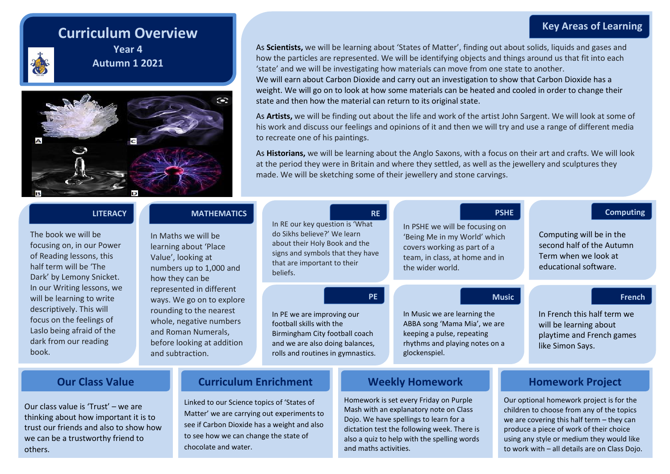# **Key Areas of Learning**

# **Curriculum Overview**



**Year 4 Autumn 1 2021**



As **Scientists,** we will be learning about 'States of Matter', finding out about solids, liquids and gases and how the particles are represented. We will be identifying objects and things around us that fit into each 'state' and we will be investigating how materials can move from one state to another. We will earn about Carbon Dioxide and carry out an investigation to show that Carbon Dioxide has a

weight. We will go on to look at how some materials can be heated and cooled in order to change their state and then how the material can return to its original state.

As **Artists,** we will be finding out about the life and work of the artist John Sargent. We will look at some of his work and discuss our feelings and opinions of it and then we will try and use a range of different media to recreate one of his paintings.

As **Historians,** we will be learning about the Anglo Saxons, with a focus on their art and crafts. We will look at the period they were in Britain and where they settled, as well as the jewellery and sculptures they made. We will be sketching some of their jewellery and stone carvings.

| <b>LITERACY</b><br>The book we will be<br>focusing on, in our Power<br>of Reading lessons, this<br>half term will be 'The<br>Dark' by Lemony Snicket.                          | <b>MATHEMATICS</b><br>In Maths we will be<br>learning about 'Place<br>Value', looking at<br>numbers up to 1,000 and<br>how they can be                                               | In RE our key question is 'What<br>do Sikhs believe?' We learn<br>about their Holy Book and the<br>signs and symbols that they have<br>that are important to their<br>beliefs. | <b>RE</b> | In PSHE we will be focusing on<br>'Being Me in my World' which<br>covers working as part of a<br>team, in class, at home and in<br>the wider world. | <b>PSHE</b>  | <b>Computing</b><br>Computing will be in the<br>second half of the Autumn<br>Term when we look at<br>educational software. |
|--------------------------------------------------------------------------------------------------------------------------------------------------------------------------------|--------------------------------------------------------------------------------------------------------------------------------------------------------------------------------------|--------------------------------------------------------------------------------------------------------------------------------------------------------------------------------|-----------|-----------------------------------------------------------------------------------------------------------------------------------------------------|--------------|----------------------------------------------------------------------------------------------------------------------------|
| In our Writing lessons, we<br>will be learning to write<br>descriptively. This will<br>focus on the feelings of<br>Laslo being afraid of the<br>dark from our reading<br>book. | represented in different<br>ways. We go on to explore<br>rounding to the nearest<br>whole, negative numbers<br>and Roman Numerals,<br>before looking at addition<br>and subtraction. | In PE we are improving our<br>football skills with the<br>Birmingham City football coach<br>and we are also doing balances,<br>rolls and routines in gymnastics.               | <b>PE</b> | In Music we are learning the<br>ABBA song 'Mama Mia', we are<br>keeping a pulse, repeating<br>rhythms and playing notes on a<br>glockenspiel.       | <b>Music</b> | <b>French</b><br>In French this half term we<br>will be learning about<br>playtime and French games<br>like Simon Says.    |
| <b>Curriculum Enrichment</b><br><b>Our Class Value</b>                                                                                                                         |                                                                                                                                                                                      |                                                                                                                                                                                |           | <b>Weekly Homework</b>                                                                                                                              |              | <b>Homework Project</b>                                                                                                    |

Our class value is 'Trust' – we are thinking about how important it is to trust our friends and also to show how we can be a trustworthy friend to others.

Linked to our Science topics of 'States of Matter' we are carrying out experiments to see if Carbon Dioxide has a weight and also to see how we can change the state of chocolate and water.

Homework is set every Friday on Purple Mash with an explanatory note on Class Dojo. We have spellings to learn for a dictation test the following week. There is also a quiz to help with the spelling words and maths activities.

Our optional homework project is for the children to choose from any of the topics we are covering this half term – they can produce a piece of work of their choice using any style or medium they would like to work with – all details are on Class Dojo.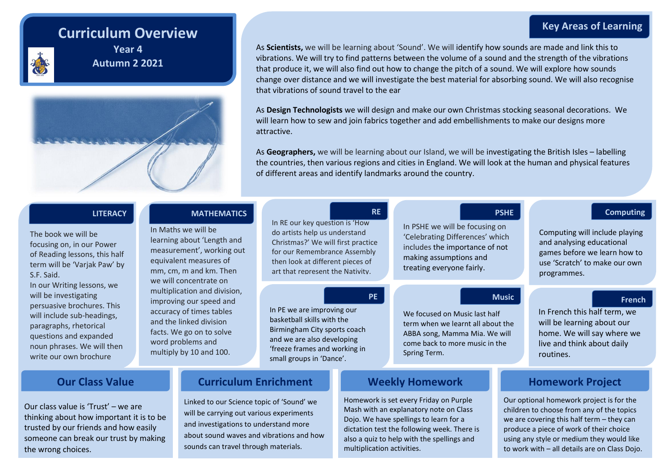# **Key Areas of Learning**

# **Curriculum Overview**



**Year 4 Autumn 2 2021**



As **Scientists,** we will be learning about 'Sound'. We will identify how sounds are made and link this to vibrations. We will try to find patterns between the volume of a sound and the strength of the vibrations that produce it, we will also find out how to change the pitch of a sound. We will explore how sounds change over distance and we will investigate the best material for absorbing sound. We will also recognise that vibrations of sound travel to the ear

As **Design Technologists** we will design and make our own Christmas stocking seasonal decorations. We will learn how to sew and join fabrics together and add embellishments to make our designs more attractive.

As **Geographers,** we will be learning about our Island, we will be investigating the British Isles – labelling the countries, then various regions and cities in England. We will look at the human and physical features of different areas and identify landmarks around the country.

## The book we will be focusing on, in our Power of Reading lessons, this half term will be 'Varjak Paw' by S.F. Said.

In our Writing lessons, we will be investigating persuasive brochures. This will include sub-headings, paragraphs, rhetorical questions and expanded noun phrases. We will then write our own brochure

## **LITERACY RE RE RE RE MATHEMATICS PSHE PSHE PSHE PSHE PSHE Computing**

In Maths we will be learning about 'Length and measurement', working out equivalent measures of mm, cm, m and km. Then we will concentrate on multiplication and division, improving our speed and accuracy of times tables and the linked division facts. We go on to solve word problems and multiply by 10 and 100.

## In RE our key question is 'How do artists help us understand Christmas?' We will first practice for our Remembrance Assembly then look at different pieces of art that represent the Nativity.

In PE we are improving our basketball skills with the Birmingham City sports coach and we are also developing 'freeze frames and working in small groups in 'Dance'.

In PSHE we will be focusing on 'Celebrating Differences' which includes the importance of not making assumptions and treating everyone fairly.

## **PE Music**

We focused on Music last half term when we learnt all about the ABBA song, Mamma Mia. We will come back to more music in the Spring Term.

Our class value is 'Trust' – we are thinking about how important it is to be trusted by our friends and how easily someone can break our trust by making the wrong choices.

# **Our Class Value Curriculum Enrichment Weekly Homework Homework Project**

Linked to our Science topic of 'Sound' we will be carrying out various experiments and investigations to understand more about sound waves and vibrations and how sounds can travel through materials.

Homework is set every Friday on Purple Mash with an explanatory note on Class Dojo. We have spellings to learn for a dictation test the following week. There is also a quiz to help with the spellings and multiplication activities.

Computing will include playing and analysing educational games before we learn how to use 'Scratch' to make our own programmes.

## **French**

In French this half term, we will be learning about our home. We will say where we live and think about daily routines.

Our optional homework project is for the children to choose from any of the topics we are covering this half term – they can produce a piece of work of their choice using any style or medium they would like to work with – all details are on Class Dojo.